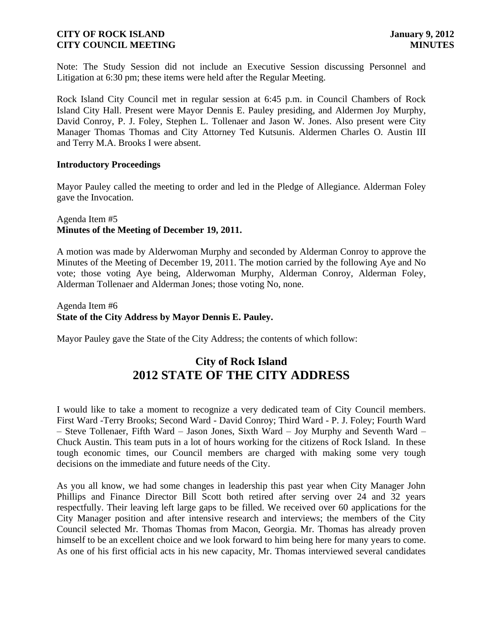Note: The Study Session did not include an Executive Session discussing Personnel and Litigation at 6:30 pm; these items were held after the Regular Meeting.

Rock Island City Council met in regular session at 6:45 p.m. in Council Chambers of Rock Island City Hall. Present were Mayor Dennis E. Pauley presiding, and Aldermen Joy Murphy, David Conroy, P. J. Foley, Stephen L. Tollenaer and Jason W. Jones. Also present were City Manager Thomas Thomas and City Attorney Ted Kutsunis. Aldermen Charles O. Austin III and Terry M.A. Brooks I were absent.

#### **Introductory Proceedings**

Mayor Pauley called the meeting to order and led in the Pledge of Allegiance. Alderman Foley gave the Invocation.

#### Agenda Item #5 **Minutes of the Meeting of December 19, 2011.**

A motion was made by Alderwoman Murphy and seconded by Alderman Conroy to approve the Minutes of the Meeting of December 19, 2011. The motion carried by the following Aye and No vote; those voting Aye being, Alderwoman Murphy, Alderman Conroy, Alderman Foley, Alderman Tollenaer and Alderman Jones; those voting No, none.

Agenda Item #6 **State of the City Address by Mayor Dennis E. Pauley.**

Mayor Pauley gave the State of the City Address; the contents of which follow:

# **City of Rock Island 2012 STATE OF THE CITY ADDRESS**

I would like to take a moment to recognize a very dedicated team of City Council members. First Ward -Terry Brooks; Second Ward - David Conroy; Third Ward - P. J. Foley; Fourth Ward – Steve Tollenaer, Fifth Ward – Jason Jones, Sixth Ward – Joy Murphy and Seventh Ward – Chuck Austin. This team puts in a lot of hours working for the citizens of Rock Island. In these tough economic times, our Council members are charged with making some very tough decisions on the immediate and future needs of the City.

As you all know, we had some changes in leadership this past year when City Manager John Phillips and Finance Director Bill Scott both retired after serving over 24 and 32 years respectfully. Their leaving left large gaps to be filled. We received over 60 applications for the City Manager position and after intensive research and interviews; the members of the City Council selected Mr. Thomas Thomas from Macon, Georgia. Mr. Thomas has already proven himself to be an excellent choice and we look forward to him being here for many years to come. As one of his first official acts in his new capacity, Mr. Thomas interviewed several candidates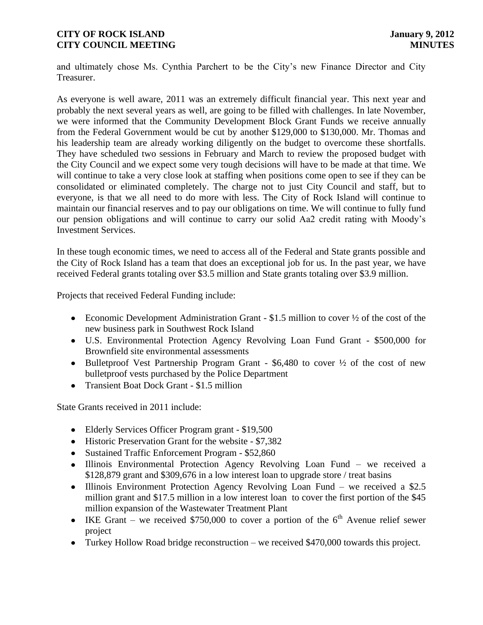and ultimately chose Ms. Cynthia Parchert to be the City"s new Finance Director and City Treasurer.

As everyone is well aware, 2011 was an extremely difficult financial year. This next year and probably the next several years as well, are going to be filled with challenges. In late November, we were informed that the Community Development Block Grant Funds we receive annually from the Federal Government would be cut by another \$129,000 to \$130,000. Mr. Thomas and his leadership team are already working diligently on the budget to overcome these shortfalls. They have scheduled two sessions in February and March to review the proposed budget with the City Council and we expect some very tough decisions will have to be made at that time. We will continue to take a very close look at staffing when positions come open to see if they can be consolidated or eliminated completely. The charge not to just City Council and staff, but to everyone, is that we all need to do more with less. The City of Rock Island will continue to maintain our financial reserves and to pay our obligations on time. We will continue to fully fund our pension obligations and will continue to carry our solid Aa2 credit rating with Moody"s Investment Services.

In these tough economic times, we need to access all of the Federal and State grants possible and the City of Rock Island has a team that does an exceptional job for us. In the past year, we have received Federal grants totaling over \$3.5 million and State grants totaling over \$3.9 million.

Projects that received Federal Funding include:

- Economic Development Administration Grant  $$1.5$  million to cover  $\frac{1}{2}$  of the cost of the new business park in Southwest Rock Island
- U.S. Environmental Protection Agency Revolving Loan Fund Grant \$500,000 for Brownfield site environmental assessments
- $\bullet$  Bulletproof Vest Partnership Program Grant \$6,480 to cover  $\frac{1}{2}$  of the cost of new bulletproof vests purchased by the Police Department
- Transient Boat Dock Grant \$1.5 million

State Grants received in 2011 include:

- Elderly Services Officer Program grant \$19,500
- Historic Preservation Grant for the website \$7,382
- Sustained Traffic Enforcement Program \$52,860
- Illinois Environmental Protection Agency Revolving Loan Fund we received a \$128,879 grant and \$309,676 in a low interest loan to upgrade store / treat basins
- Illinois Environment Protection Agency Revolving Loan Fund we received a \$2.5 million grant and \$17.5 million in a low interest loan to cover the first portion of the \$45 million expansion of the Wastewater Treatment Plant
- IKE Grant we received \$750,000 to cover a portion of the  $6<sup>th</sup>$  Avenue relief sewer project
- Turkey Hollow Road bridge reconstruction we received \$470,000 towards this project.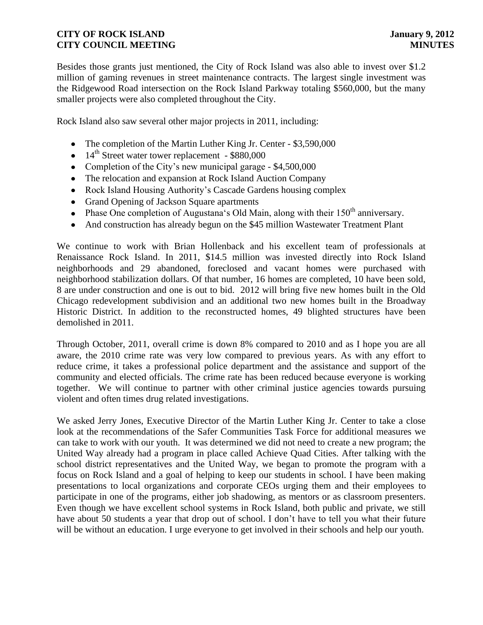Besides those grants just mentioned, the City of Rock Island was also able to invest over \$1.2 million of gaming revenues in street maintenance contracts. The largest single investment was the Ridgewood Road intersection on the Rock Island Parkway totaling \$560,000, but the many smaller projects were also completed throughout the City.

Rock Island also saw several other major projects in 2011, including:

- The completion of the Martin Luther King Jr. Center \$3,590,000
- $\bullet$  14<sup>th</sup> Street water tower replacement \$880,000
- Completion of the City's new municipal garage  $-$  \$4,500,000
- The relocation and expansion at Rock Island Auction Company
- Rock Island Housing Authority's Cascade Gardens housing complex
- Grand Opening of Jackson Square apartments
- Phase One completion of Augustana's Old Main, along with their  $150<sup>th</sup>$  anniversary.
- And construction has already begun on the \$45 million Wastewater Treatment Plant

We continue to work with Brian Hollenback and his excellent team of professionals at Renaissance Rock Island. In 2011, \$14.5 million was invested directly into Rock Island neighborhoods and 29 abandoned, foreclosed and vacant homes were purchased with neighborhood stabilization dollars. Of that number, 16 homes are completed, 10 have been sold, 8 are under construction and one is out to bid. 2012 will bring five new homes built in the Old Chicago redevelopment subdivision and an additional two new homes built in the Broadway Historic District. In addition to the reconstructed homes, 49 blighted structures have been demolished in 2011.

Through October, 2011, overall crime is down 8% compared to 2010 and as I hope you are all aware, the 2010 crime rate was very low compared to previous years. As with any effort to reduce crime, it takes a professional police department and the assistance and support of the community and elected officials. The crime rate has been reduced because everyone is working together. We will continue to partner with other criminal justice agencies towards pursuing violent and often times drug related investigations.

We asked Jerry Jones, Executive Director of the Martin Luther King Jr. Center to take a close look at the recommendations of the Safer Communities Task Force for additional measures we can take to work with our youth. It was determined we did not need to create a new program; the United Way already had a program in place called Achieve Quad Cities. After talking with the school district representatives and the United Way, we began to promote the program with a focus on Rock Island and a goal of helping to keep our students in school. I have been making presentations to local organizations and corporate CEOs urging them and their employees to participate in one of the programs, either job shadowing, as mentors or as classroom presenters. Even though we have excellent school systems in Rock Island, both public and private, we still have about 50 students a year that drop out of school. I don't have to tell you what their future will be without an education. I urge everyone to get involved in their schools and help our youth.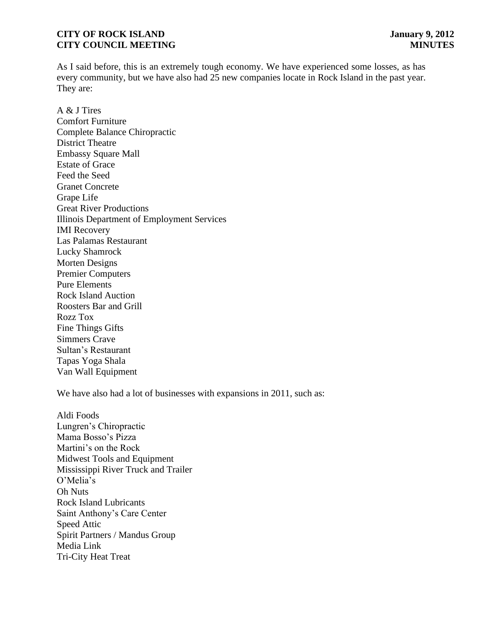As I said before, this is an extremely tough economy. We have experienced some losses, as has every community, but we have also had 25 new companies locate in Rock Island in the past year. They are:

A & J Tires Comfort Furniture Complete Balance Chiropractic District Theatre Embassy Square Mall Estate of Grace Feed the Seed Granet Concrete Grape Life Great River Productions Illinois Department of Employment Services IMI Recovery Las Palamas Restaurant Lucky Shamrock Morten Designs Premier Computers Pure Elements Rock Island Auction Roosters Bar and Grill Rozz Tox Fine Things Gifts Simmers Crave Sultan"s Restaurant Tapas Yoga Shala Van Wall Equipment

We have also had a lot of businesses with expansions in 2011, such as:

Aldi Foods Lungren"s Chiropractic Mama Bosso"s Pizza Martini"s on the Rock Midwest Tools and Equipment Mississippi River Truck and Trailer O"Melia"s Oh Nuts Rock Island Lubricants Saint Anthony"s Care Center Speed Attic Spirit Partners / Mandus Group Media Link Tri-City Heat Treat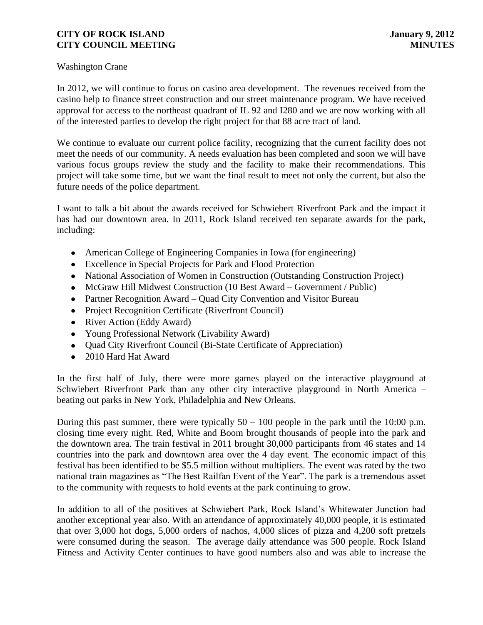#### Washington Crane

In 2012, we will continue to focus on casino area development. The revenues received from the casino help to finance street construction and our street maintenance program. We have received approval for access to the northeast quadrant of IL 92 and I280 and we are now working with all of the interested parties to develop the right project for that 88 acre tract of land.

We continue to evaluate our current police facility, recognizing that the current facility does not meet the needs of our community. A needs evaluation has been completed and soon we will have various focus groups review the study and the facility to make their recommendations. This project will take some time, but we want the final result to meet not only the current, but also the future needs of the police department.

I want to talk a bit about the awards received for Schwiebert Riverfront Park and the impact it has had our downtown area. In 2011, Rock Island received ten separate awards for the park, including:

- American College of Engineering Companies in Iowa (for engineering)
- Excellence in Special Projects for Park and Flood Protection
- National Association of Women in Construction (Outstanding Construction Project)
- McGraw Hill Midwest Construction (10 Best Award Government / Public)
- Partner Recognition Award Quad City Convention and Visitor Bureau
- Project Recognition Certificate (Riverfront Council)
- River Action (Eddy Award)
- Young Professional Network (Livability Award)
- Ouad City Riverfront Council (Bi-State Certificate of Appreciation)
- 2010 Hard Hat Award

In the first half of July, there were more games played on the interactive playground at Schwiebert Riverfront Park than any other city interactive playground in North America – beating out parks in New York, Philadelphia and New Orleans.

During this past summer, there were typically  $50 - 100$  people in the park until the 10:00 p.m. closing time every night. Red, White and Boom brought thousands of people into the park and the downtown area. The train festival in 2011 brought 30,000 participants from 46 states and 14 countries into the park and downtown area over the 4 day event. The economic impact of this festival has been identified to be \$5.5 million without multipliers. The event was rated by the two national train magazines as "The Best Railfan Event of the Year". The park is a tremendous asset to the community with requests to hold events at the park continuing to grow.

In addition to all of the positives at Schwiebert Park, Rock Island"s Whitewater Junction had another exceptional year also. With an attendance of approximately 40,000 people, it is estimated that over 3,000 hot dogs, 5,000 orders of nachos, 4,000 slices of pizza and 4,200 soft pretzels were consumed during the season. The average daily attendance was 500 people. Rock Island Fitness and Activity Center continues to have good numbers also and was able to increase the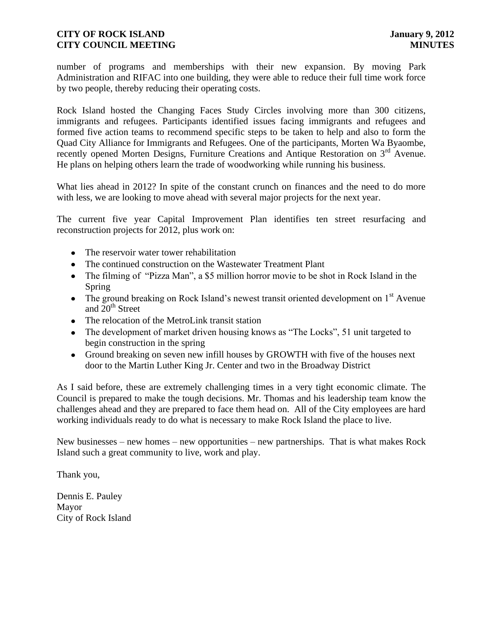number of programs and memberships with their new expansion. By moving Park Administration and RIFAC into one building, they were able to reduce their full time work force by two people, thereby reducing their operating costs.

Rock Island hosted the Changing Faces Study Circles involving more than 300 citizens, immigrants and refugees. Participants identified issues facing immigrants and refugees and formed five action teams to recommend specific steps to be taken to help and also to form the Quad City Alliance for Immigrants and Refugees. One of the participants, Morten Wa Byaombe, recently opened Morten Designs, Furniture Creations and Antique Restoration on  $3<sup>rd</sup>$  Avenue. He plans on helping others learn the trade of woodworking while running his business.

What lies ahead in 2012? In spite of the constant crunch on finances and the need to do more with less, we are looking to move ahead with several major projects for the next year.

 The current five year Capital Improvement Plan identifies ten street resurfacing and reconstruction projects for 2012, plus work on:

- The reservoir water tower rehabilitation
- The continued construction on the Wastewater Treatment Plant
- The filming of "Pizza Man", a \$5 million horror movie to be shot in Rock Island in the Spring
- The ground breaking on Rock Island's newest transit oriented development on  $1<sup>st</sup>$  Avenue and  $20<sup>th</sup>$  Street
- The relocation of the MetroLink transit station
- The development of market driven housing knows as "The Locks", 51 unit targeted to begin construction in the spring
- Ground breaking on seven new infill houses by GROWTH with five of the houses next door to the Martin Luther King Jr. Center and two in the Broadway District

As I said before, these are extremely challenging times in a very tight economic climate. The Council is prepared to make the tough decisions. Mr. Thomas and his leadership team know the challenges ahead and they are prepared to face them head on. All of the City employees are hard working individuals ready to do what is necessary to make Rock Island the place to live.

New businesses – new homes – new opportunities – new partnerships. That is what makes Rock Island such a great community to live, work and play.

Thank you,

Dennis E. Pauley Mayor City of Rock Island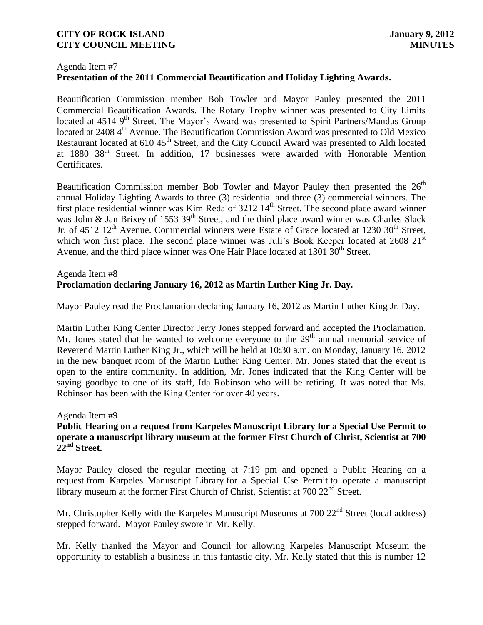#### Agenda Item #7

# **Presentation of the 2011 Commercial Beautification and Holiday Lighting Awards.**

Beautification Commission member Bob Towler and Mayor Pauley presented the 2011 Commercial Beautification Awards. The Rotary Trophy winner was presented to City Limits located at 4514 9<sup>th</sup> Street. The Mayor's Award was presented to Spirit Partners/Mandus Group located at 2408 4<sup>th</sup> Avenue. The Beautification Commission Award was presented to Old Mexico Restaurant located at 610 45<sup>th</sup> Street, and the City Council Award was presented to Aldi located at 1880 38<sup>th</sup> Street. In addition, 17 businesses were awarded with Honorable Mention Certificates.

Beautification Commission member Bob Towler and Mayor Pauley then presented the  $26<sup>th</sup>$ annual Holiday Lighting Awards to three (3) residential and three (3) commercial winners. The first place residential winner was Kim Reda of 3212 14<sup>th</sup> Street. The second place award winner was John & Jan Brixey of 1553 39<sup>th</sup> Street, and the third place award winner was Charles Slack Jr. of 4512  $12<sup>th</sup>$  Avenue. Commercial winners were Estate of Grace located at 1230  $30<sup>th</sup>$  Street, which won first place. The second place winner was Juli's Book Keeper located at 2608 21<sup>st</sup> Avenue, and the third place winner was One Hair Place located at  $1301 \overline{30}$ <sup>th</sup> Street.

#### Agenda Item #8 **Proclamation declaring January 16, 2012 as Martin Luther King Jr. Day.**

Mayor Pauley read the Proclamation declaring January 16, 2012 as Martin Luther King Jr. Day.

Martin Luther King Center Director Jerry Jones stepped forward and accepted the Proclamation. Mr. Jones stated that he wanted to welcome everyone to the  $29<sup>th</sup>$  annual memorial service of Reverend Martin Luther King Jr., which will be held at 10:30 a.m. on Monday, January 16, 2012 in the new banquet room of the Martin Luther King Center. Mr. Jones stated that the event is open to the entire community. In addition, Mr. Jones indicated that the King Center will be saying goodbye to one of its staff, Ida Robinson who will be retiring. It was noted that Ms. Robinson has been with the King Center for over 40 years.

#### Agenda Item #9

#### **Public Hearing on a request from Karpeles Manuscript Library for a Special Use Permit to operate a manuscript library museum at the former First Church of Christ, Scientist at 700 22nd Street.**

Mayor Pauley closed the regular meeting at 7:19 pm and opened a Public Hearing on a request from Karpeles Manuscript Library for a Special Use Permit to operate a manuscript library museum at the former First Church of Christ, Scientist at 700 22<sup>nd</sup> Street.

Mr. Christopher Kelly with the Karpeles Manuscript Museums at  $700\ 22<sup>nd</sup>$  Street (local address) stepped forward. Mayor Pauley swore in Mr. Kelly.

Mr. Kelly thanked the Mayor and Council for allowing Karpeles Manuscript Museum the opportunity to establish a business in this fantastic city. Mr. Kelly stated that this is number 12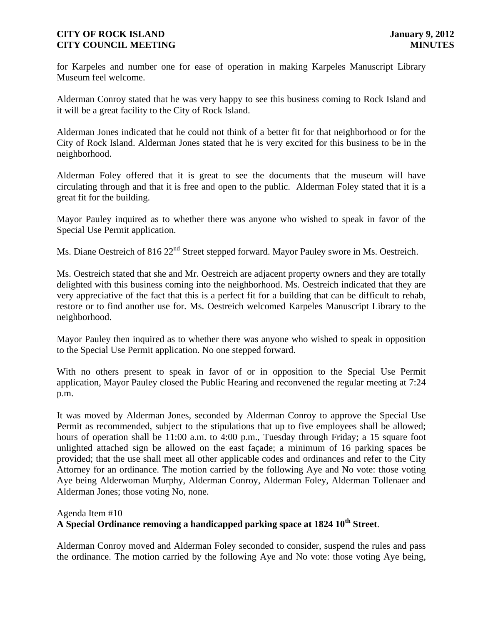for Karpeles and number one for ease of operation in making Karpeles Manuscript Library Museum feel welcome.

Alderman Conroy stated that he was very happy to see this business coming to Rock Island and it will be a great facility to the City of Rock Island.

Alderman Jones indicated that he could not think of a better fit for that neighborhood or for the City of Rock Island. Alderman Jones stated that he is very excited for this business to be in the neighborhood.

Alderman Foley offered that it is great to see the documents that the museum will have circulating through and that it is free and open to the public. Alderman Foley stated that it is a great fit for the building.

Mayor Pauley inquired as to whether there was anyone who wished to speak in favor of the Special Use Permit application.

Ms. Diane Oestreich of 816 22<sup>nd</sup> Street stepped forward. Mayor Pauley swore in Ms. Oestreich.

Ms. Oestreich stated that she and Mr. Oestreich are adjacent property owners and they are totally delighted with this business coming into the neighborhood. Ms. Oestreich indicated that they are very appreciative of the fact that this is a perfect fit for a building that can be difficult to rehab, restore or to find another use for. Ms. Oestreich welcomed Karpeles Manuscript Library to the neighborhood.

Mayor Pauley then inquired as to whether there was anyone who wished to speak in opposition to the Special Use Permit application. No one stepped forward.

With no others present to speak in favor of or in opposition to the Special Use Permit application, Mayor Pauley closed the Public Hearing and reconvened the regular meeting at 7:24 p.m.

It was moved by Alderman Jones, seconded by Alderman Conroy to approve the Special Use Permit as recommended, subject to the stipulations that up to five employees shall be allowed; hours of operation shall be 11:00 a.m. to 4:00 p.m., Tuesday through Friday; a 15 square foot unlighted attached sign be allowed on the east façade; a minimum of 16 parking spaces be provided; that the use shall meet all other applicable codes and ordinances and refer to the City Attorney for an ordinance. The motion carried by the following Aye and No vote: those voting Aye being Alderwoman Murphy, Alderman Conroy, Alderman Foley, Alderman Tollenaer and Alderman Jones; those voting No, none.

# Agenda Item #10 **A Special Ordinance removing a handicapped parking space at 1824 10th Street**.

Alderman Conroy moved and Alderman Foley seconded to consider, suspend the rules and pass the ordinance. The motion carried by the following Aye and No vote: those voting Aye being,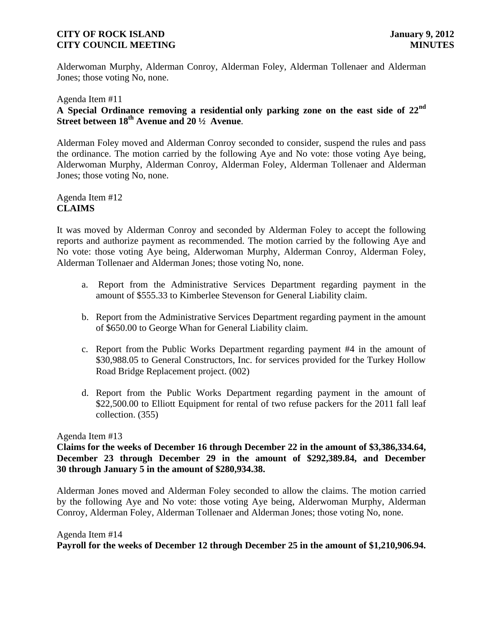Alderwoman Murphy, Alderman Conroy, Alderman Foley, Alderman Tollenaer and Alderman Jones; those voting No, none.

# Agenda Item #11 **A Special Ordinance removing a residential only parking zone on the east side of 22nd Street between 18th Avenue and 20 ½ Avenue**.

Alderman Foley moved and Alderman Conroy seconded to consider, suspend the rules and pass the ordinance. The motion carried by the following Aye and No vote: those voting Aye being, Alderwoman Murphy, Alderman Conroy, Alderman Foley, Alderman Tollenaer and Alderman Jones; those voting No, none.

Agenda Item #12 **CLAIMS**

It was moved by Alderman Conroy and seconded by Alderman Foley to accept the following reports and authorize payment as recommended. The motion carried by the following Aye and No vote: those voting Aye being, Alderwoman Murphy, Alderman Conroy, Alderman Foley, Alderman Tollenaer and Alderman Jones; those voting No, none.

- a. Report from the Administrative Services Department regarding payment in the amount of \$555.33 to Kimberlee Stevenson for General Liability claim.
- b. Report from the Administrative Services Department regarding payment in the amount of \$650.00 to George Whan for General Liability claim.
- c. Report from the Public Works Department regarding payment #4 in the amount of \$30,988.05 to General Constructors, Inc. for services provided for the Turkey Hollow Road Bridge Replacement project. (002)
- d. Report from the Public Works Department regarding payment in the amount of \$22,500.00 to Elliott Equipment for rental of two refuse packers for the 2011 fall leaf collection. (355)

#### Agenda Item #13

 **Claims for the weeks of December 16 through December 22 in the amount of \$3,386,334.64, December 23 through December 29 in the amount of \$292,389.84, and December 30 through January 5 in the amount of \$280,934.38.**

Alderman Jones moved and Alderman Foley seconded to allow the claims. The motion carried by the following Aye and No vote: those voting Aye being, Alderwoman Murphy, Alderman Conroy, Alderman Foley, Alderman Tollenaer and Alderman Jones; those voting No, none.

#### Agenda Item #14

**Payroll for the weeks of December 12 through December 25 in the amount of \$1,210,906.94.**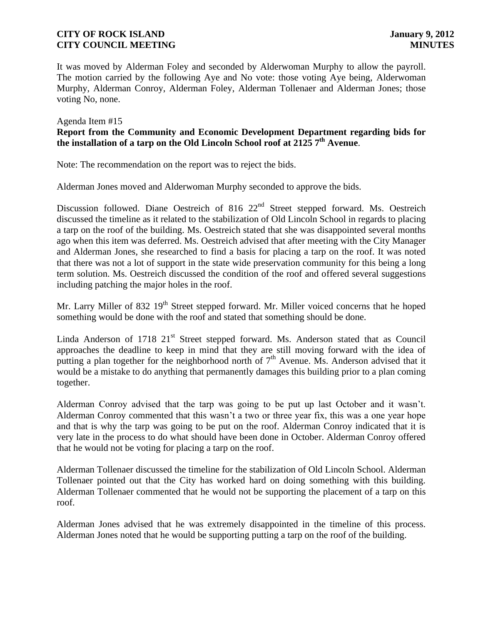It was moved by Alderman Foley and seconded by Alderwoman Murphy to allow the payroll. The motion carried by the following Aye and No vote: those voting Aye being, Alderwoman Murphy, Alderman Conroy, Alderman Foley, Alderman Tollenaer and Alderman Jones; those voting No, none.

#### Agenda Item #15

# **Report from the Community and Economic Development Department regarding bids for the installation of a tarp on the Old Lincoln School roof at 2125 7th Avenue**.

Note: The recommendation on the report was to reject the bids.

Alderman Jones moved and Alderwoman Murphy seconded to approve the bids.

Discussion followed. Diane Oestreich of 816 22<sup>nd</sup> Street stepped forward. Ms. Oestreich discussed the timeline as it related to the stabilization of Old Lincoln School in regards to placing a tarp on the roof of the building. Ms. Oestreich stated that she was disappointed several months ago when this item was deferred. Ms. Oestreich advised that after meeting with the City Manager and Alderman Jones, she researched to find a basis for placing a tarp on the roof. It was noted that there was not a lot of support in the state wide preservation community for this being a long term solution. Ms. Oestreich discussed the condition of the roof and offered several suggestions including patching the major holes in the roof.

Mr. Larry Miller of 832  $19<sup>th</sup>$  Street stepped forward. Mr. Miller voiced concerns that he hoped something would be done with the roof and stated that something should be done.

Linda Anderson of  $1718$   $21<sup>st</sup>$  Street stepped forward. Ms. Anderson stated that as Council approaches the deadline to keep in mind that they are still moving forward with the idea of putting a plan together for the neighborhood north of  $7<sup>th</sup>$  Avenue. Ms. Anderson advised that it would be a mistake to do anything that permanently damages this building prior to a plan coming together.

 Alderman Conroy advised that the tarp was going to be put up last October and it wasn"t. Alderman Conroy commented that this wasn"t a two or three year fix, this was a one year hope and that is why the tarp was going to be put on the roof. Alderman Conroy indicated that it is very late in the process to do what should have been done in October. Alderman Conroy offered that he would not be voting for placing a tarp on the roof.

 Alderman Tollenaer discussed the timeline for the stabilization of Old Lincoln School. Alderman Tollenaer pointed out that the City has worked hard on doing something with this building. Alderman Tollenaer commented that he would not be supporting the placement of a tarp on this roof.

Alderman Jones advised that he was extremely disappointed in the timeline of this process. Alderman Jones noted that he would be supporting putting a tarp on the roof of the building.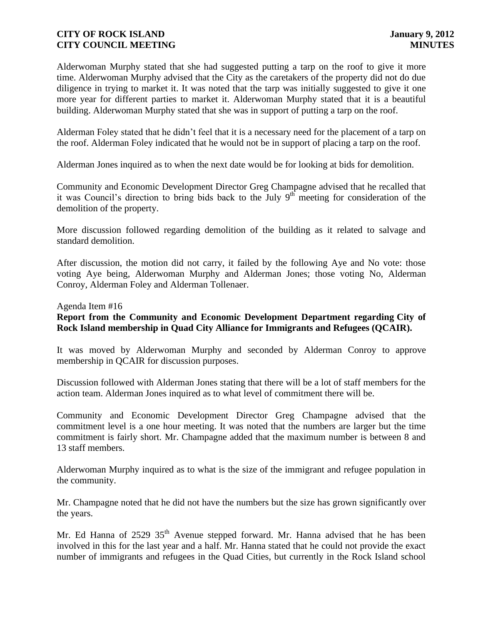Alderwoman Murphy stated that she had suggested putting a tarp on the roof to give it more time. Alderwoman Murphy advised that the City as the caretakers of the property did not do due diligence in trying to market it. It was noted that the tarp was initially suggested to give it one more year for different parties to market it. Alderwoman Murphy stated that it is a beautiful building. Alderwoman Murphy stated that she was in support of putting a tarp on the roof.

 Alderman Foley stated that he didn"t feel that it is a necessary need for the placement of a tarp on the roof. Alderman Foley indicated that he would not be in support of placing a tarp on the roof.

Alderman Jones inquired as to when the next date would be for looking at bids for demolition.

 Community and Economic Development Director Greg Champagne advised that he recalled that it was Council's direction to bring bids back to the July  $9<sup>th</sup>$  meeting for consideration of the demolition of the property.

 More discussion followed regarding demolition of the building as it related to salvage and standard demolition.

After discussion, the motion did not carry, it failed by the following Aye and No vote: those voting Aye being, Alderwoman Murphy and Alderman Jones; those voting No, Alderman Conroy, Alderman Foley and Alderman Tollenaer.

#### Agenda Item #16

# **Report from the Community and Economic Development Department regarding City of Rock Island membership in Quad City Alliance for Immigrants and Refugees (QCAIR).**

It was moved by Alderwoman Murphy and seconded by Alderman Conroy to approve membership in QCAIR for discussion purposes.

Discussion followed with Alderman Jones stating that there will be a lot of staff members for the action team. Alderman Jones inquired as to what level of commitment there will be.

Community and Economic Development Director Greg Champagne advised that the commitment level is a one hour meeting. It was noted that the numbers are larger but the time commitment is fairly short. Mr. Champagne added that the maximum number is between 8 and 13 staff members.

Alderwoman Murphy inquired as to what is the size of the immigrant and refugee population in the community.

Mr. Champagne noted that he did not have the numbers but the size has grown significantly over the years.

Mr. Ed Hanna of 2529 35<sup>th</sup> Avenue stepped forward. Mr. Hanna advised that he has been involved in this for the last year and a half. Mr. Hanna stated that he could not provide the exact number of immigrants and refugees in the Quad Cities, but currently in the Rock Island school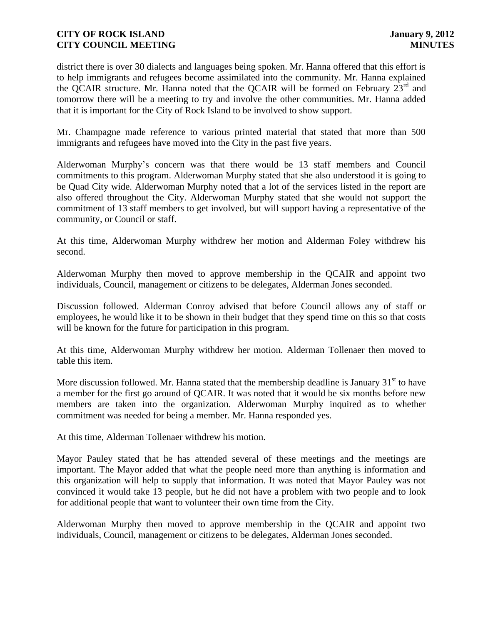district there is over 30 dialects and languages being spoken. Mr. Hanna offered that this effort is to help immigrants and refugees become assimilated into the community. Mr. Hanna explained the QCAIR structure. Mr. Hanna noted that the QCAIR will be formed on February 23<sup>rd</sup> and tomorrow there will be a meeting to try and involve the other communities. Mr. Hanna added that it is important for the City of Rock Island to be involved to show support.

Mr. Champagne made reference to various printed material that stated that more than 500 immigrants and refugees have moved into the City in the past five years.

Alderwoman Murphy"s concern was that there would be 13 staff members and Council commitments to this program. Alderwoman Murphy stated that she also understood it is going to be Quad City wide. Alderwoman Murphy noted that a lot of the services listed in the report are also offered throughout the City. Alderwoman Murphy stated that she would not support the commitment of 13 staff members to get involved, but will support having a representative of the community, or Council or staff.

At this time, Alderwoman Murphy withdrew her motion and Alderman Foley withdrew his second.

Alderwoman Murphy then moved to approve membership in the QCAIR and appoint two individuals, Council, management or citizens to be delegates, Alderman Jones seconded.

Discussion followed. Alderman Conroy advised that before Council allows any of staff or employees, he would like it to be shown in their budget that they spend time on this so that costs will be known for the future for participation in this program.

At this time, Alderwoman Murphy withdrew her motion. Alderman Tollenaer then moved to table this item.

More discussion followed. Mr. Hanna stated that the membership deadline is January  $31<sup>st</sup>$  to have a member for the first go around of QCAIR. It was noted that it would be six months before new members are taken into the organization. Alderwoman Murphy inquired as to whether commitment was needed for being a member. Mr. Hanna responded yes.

At this time, Alderman Tollenaer withdrew his motion.

Mayor Pauley stated that he has attended several of these meetings and the meetings are important. The Mayor added that what the people need more than anything is information and this organization will help to supply that information. It was noted that Mayor Pauley was not convinced it would take 13 people, but he did not have a problem with two people and to look for additional people that want to volunteer their own time from the City.

Alderwoman Murphy then moved to approve membership in the QCAIR and appoint two individuals, Council, management or citizens to be delegates, Alderman Jones seconded.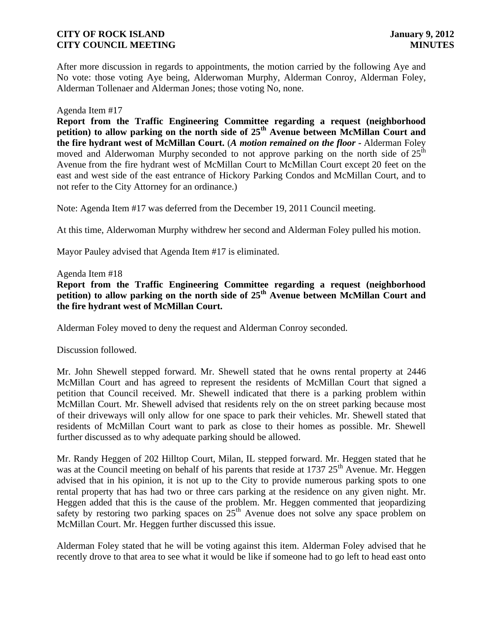After more discussion in regards to appointments, the motion carried by the following Aye and No vote: those voting Aye being, Alderwoman Murphy, Alderman Conroy, Alderman Foley, Alderman Tollenaer and Alderman Jones; those voting No, none.

#### Agenda Item #17

**Report from the Traffic Engineering Committee regarding a request (neighborhood petition) to allow parking on the north side of 25th Avenue between McMillan Court and the fire hydrant west of McMillan Court.** (*A motion remained on the floor -* Alderman Foley moved and Alderwoman Murphy seconded to not approve parking on the north side of  $25<sup>th</sup>$ Avenue from the fire hydrant west of McMillan Court to McMillan Court except 20 feet on the east and west side of the east entrance of Hickory Parking Condos and McMillan Court, and to not refer to the City Attorney for an ordinance.)

Note: Agenda Item #17 was deferred from the December 19, 2011 Council meeting.

At this time, Alderwoman Murphy withdrew her second and Alderman Foley pulled his motion.

Mayor Pauley advised that Agenda Item #17 is eliminated.

#### Agenda Item #18

**Report from the Traffic Engineering Committee regarding a request (neighborhood petition) to allow parking on the north side of 25th Avenue between McMillan Court and the fire hydrant west of McMillan Court.**

Alderman Foley moved to deny the request and Alderman Conroy seconded.

Discussion followed.

Mr. John Shewell stepped forward. Mr. Shewell stated that he owns rental property at 2446 McMillan Court and has agreed to represent the residents of McMillan Court that signed a petition that Council received. Mr. Shewell indicated that there is a parking problem within McMillan Court. Mr. Shewell advised that residents rely on the on street parking because most of their driveways will only allow for one space to park their vehicles. Mr. Shewell stated that residents of McMillan Court want to park as close to their homes as possible. Mr. Shewell further discussed as to why adequate parking should be allowed.

Mr. Randy Heggen of 202 Hilltop Court, Milan, IL stepped forward. Mr. Heggen stated that he was at the Council meeting on behalf of his parents that reside at  $1737 25<sup>th</sup>$  Avenue. Mr. Heggen advised that in his opinion, it is not up to the City to provide numerous parking spots to one rental property that has had two or three cars parking at the residence on any given night. Mr. Heggen added that this is the cause of the problem. Mr. Heggen commented that jeopardizing safety by restoring two parking spaces on  $25<sup>th</sup>$  Avenue does not solve any space problem on McMillan Court. Mr. Heggen further discussed this issue.

Alderman Foley stated that he will be voting against this item. Alderman Foley advised that he recently drove to that area to see what it would be like if someone had to go left to head east onto